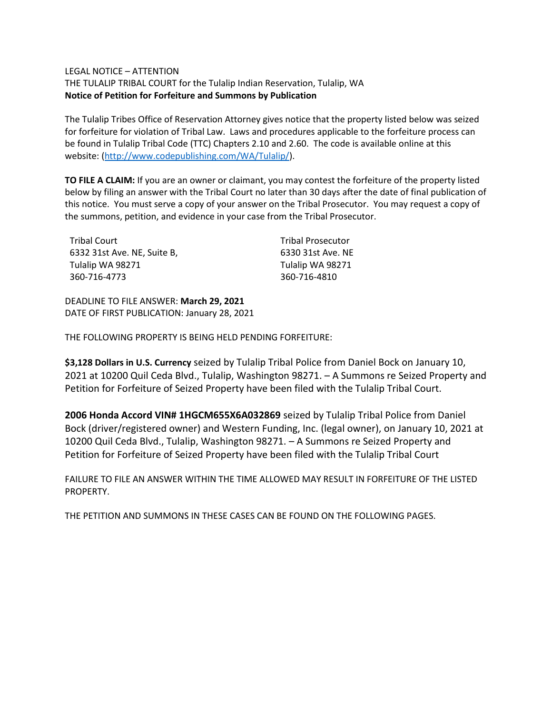## LEGAL NOTICE – ATTENTION

THE TULALIP TRIBAL COURT for the Tulalip Indian Reservation, Tulalip, WA **Notice of Petition for Forfeiture and Summons by Publication**

The Tulalip Tribes Office of Reservation Attorney gives notice that the property listed below was seized for forfeiture for violation of Tribal Law. Laws and procedures applicable to the forfeiture process can be found in Tulalip Tribal Code (TTC) Chapters 2.10 and 2.60. The code is available online at this website: [\(http://www.codepublishing.com/WA/Tulalip/\)](http://www.codepublishing.com/WA/Tulalip/).

**TO FILE A CLAIM:** If you are an owner or claimant, you may contest the forfeiture of the property listed below by filing an answer with the Tribal Court no later than 30 days after the date of final publication of this notice. You must serve a copy of your answer on the Tribal Prosecutor. You may request a copy of the summons, petition, and evidence in your case from the Tribal Prosecutor.

| <b>Tribal Court</b>         | <b>Tribal Prosecutor</b> |
|-----------------------------|--------------------------|
| 6332 31st Ave. NE, Suite B, | 6330 31st Ave. NE        |
| Tulalip WA 98271            | Tulalip WA 98271         |
| 360-716-4773                | 360-716-4810             |

DEADLINE TO FILE ANSWER: **March 29, 2021** DATE OF FIRST PUBLICATION: January 28, 2021

THE FOLLOWING PROPERTY IS BEING HELD PENDING FORFEITURE:

**\$3,128 Dollars in U.S. Currency** seized by Tulalip Tribal Police from Daniel Bock on January 10, 2021 at 10200 Quil Ceda Blvd., Tulalip, Washington 98271. – A Summons re Seized Property and Petition for Forfeiture of Seized Property have been filed with the Tulalip Tribal Court.

**2006 Honda Accord VIN# 1HGCM655X6A032869** seized by Tulalip Tribal Police from Daniel Bock (driver/registered owner) and Western Funding, Inc. (legal owner), on January 10, 2021 at 10200 Quil Ceda Blvd., Tulalip, Washington 98271. – A Summons re Seized Property and Petition for Forfeiture of Seized Property have been filed with the Tulalip Tribal Court

FAILURE TO FILE AN ANSWER WITHIN THE TIME ALLOWED MAY RESULT IN FORFEITURE OF THE LISTED PROPERTY.

THE PETITION AND SUMMONS IN THESE CASES CAN BE FOUND ON THE FOLLOWING PAGES.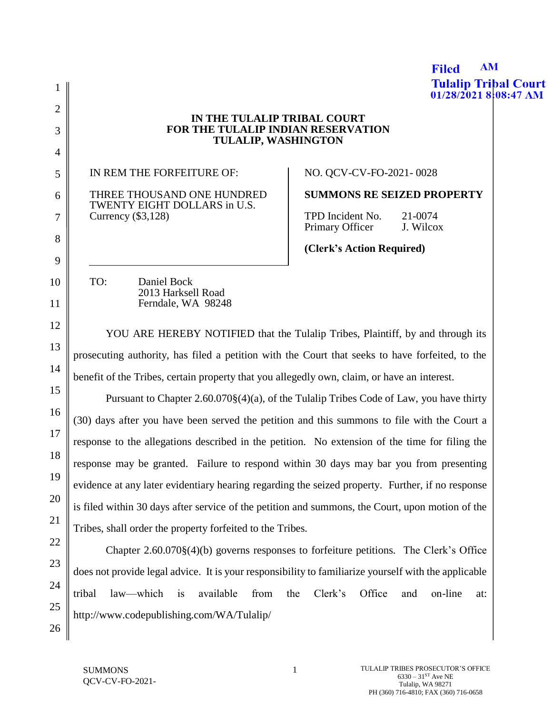**Filed Tulalip Tribal Court** 1  $01/28/20218:08:47$  AM 2 **IN THE TULALIP TRIBAL COURT FOR THE TULALIP INDIAN RESERVATION**  3 **TULALIP, WASHINGTON** 4 IN REM THE FORFEITURE OF: NO. QCV-CV-FO-2021- 0028 5 **SUMMONS RE SEIZED PROPERTY** THREE THOUSAND ONE HUNDRED 6 TWENTY EIGHT DOLLARS in U.S. TPD Incident No. 21-0074 7 Currency (\$3,128) Primary Officer J. Wilcox 8 **(Clerk's Action Required)** 9 TO: Daniel Bock 10 2013 Harksell Road 11 Ferndale, WA 98248 12 YOU ARE HEREBY NOTIFIED that the Tulalip Tribes, Plaintiff, by and through its 13 prosecuting authority, has filed a petition with the Court that seeks to have forfeited, to the 14 benefit of the Tribes, certain property that you allegedly own, claim, or have an interest. 15 Pursuant to Chapter 2.60.070§(4)(a), of the Tulalip Tribes Code of Law, you have thirty 16 (30) days after you have been served the petition and this summons to file with the Court a 17 response to the allegations described in the petition. No extension of the time for filing the 18 response may be granted. Failure to respond within 30 days may bar you from presenting 19 evidence at any later evidentiary hearing regarding the seized property. Further, if no response 20 is filed within 30 days after service of the petition and summons, the Court, upon motion of the 21 Tribes, shall order the property forfeited to the Tribes. 22 Chapter 2.60.070§(4)(b) governs responses to forfeiture petitions. The Clerk's Office 23 does not provide legal advice. It is your responsibility to familiarize yourself with the applicable 24 tribal law—which is available from the Clerk's Office and on-line at: 25 http://www.codepublishing.com/WA/Tulalip/

26

**AM**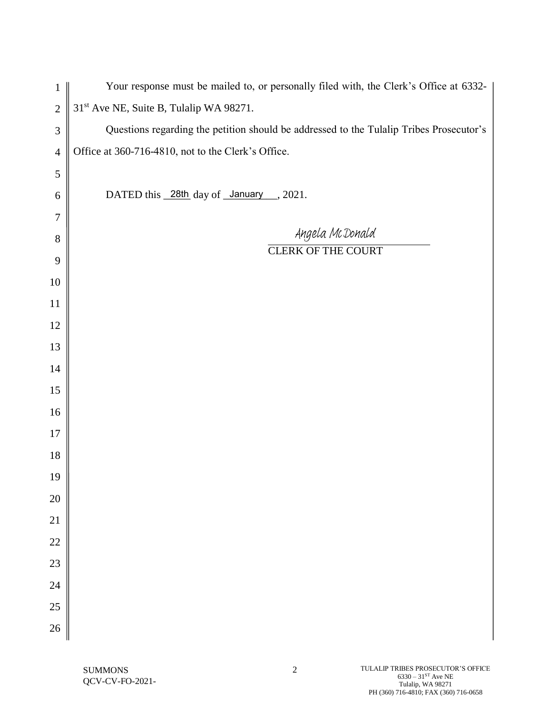| $\mathbf{1}$                | Your response must be mailed to, or personally filed with, the Clerk's Office at 6332-  |
|-----------------------------|-----------------------------------------------------------------------------------------|
| $\mathbf{2}$                | 31 <sup>st</sup> Ave NE, Suite B, Tulalip WA 98271.                                     |
| $\ensuremath{\mathfrak{Z}}$ | Questions regarding the petition should be addressed to the Tulalip Tribes Prosecutor's |
| $\overline{4}$              | Office at 360-716-4810, not to the Clerk's Office.                                      |
| $\mathfrak s$               |                                                                                         |
| $\boldsymbol{6}$            | DATED this 28th day of January 2021.                                                    |
| $\tau$                      |                                                                                         |
| $8\,$                       | Angela McDonald<br><b>CLERK OF THE COURT</b>                                            |
| $\boldsymbol{9}$            |                                                                                         |
| $10\,$                      |                                                                                         |
| 11                          |                                                                                         |
| 12                          |                                                                                         |
| 13                          |                                                                                         |
| 14                          |                                                                                         |
| 15                          |                                                                                         |
| 16                          |                                                                                         |
| 17                          |                                                                                         |
| 18                          |                                                                                         |
| 19                          |                                                                                         |
| $20\,$                      |                                                                                         |
| $21\,$                      |                                                                                         |
| 22                          |                                                                                         |
| 23                          |                                                                                         |
| 24                          |                                                                                         |
| 25                          |                                                                                         |
| $26\,$                      |                                                                                         |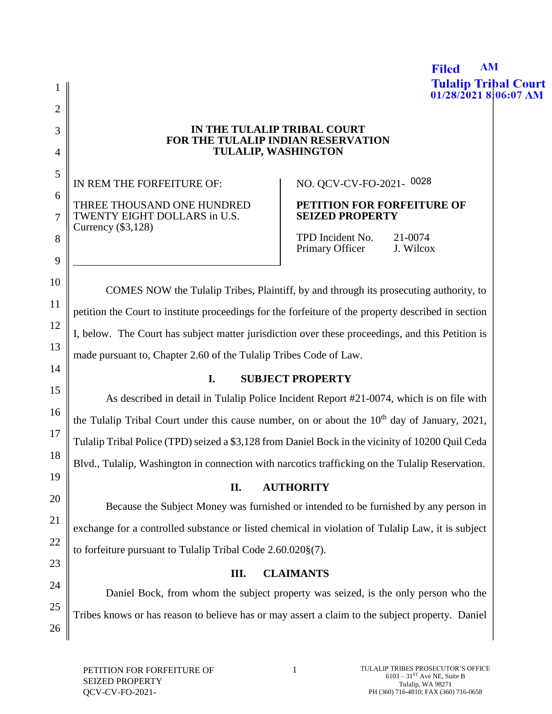**Tulalip Tribal Court** 1  $01/28/20218:06:07$  AM 2 **IN THE TULALIP TRIBAL COURT** 3 **FOR THE TULALIP INDIAN RESERVATION TULALIP, WASHINGTON** 4 5 NO. QCV-CV-FO-2021- 0028IN REM THE FORFEITURE OF: 6 THREE THOUSAND ONE HUNDRED **PETITION FOR FORFEITURE OF**  TWENTY EIGHT DOLLARS in U.S. **SEIZED PROPERTY** 7 Currency (\$3,128) TPD Incident No. 21-0074 8 Primary Officer J. Wilcox 9 10 COMES NOW the Tulalip Tribes, Plaintiff, by and through its prosecuting authority, to 11 petition the Court to institute proceedings for the forfeiture of the property described in section 12 I, below. The Court has subject matter jurisdiction over these proceedings, and this Petition is 13 made pursuant to, Chapter 2.60 of the Tulalip Tribes Code of Law. 14 **I. SUBJECT PROPERTY** 15 As described in detail in Tulalip Police Incident Report #21-0074, which is on file with 16 the Tulalip Tribal Court under this cause number, on or about the  $10<sup>th</sup>$  day of January, 2021, 17 Tulalip Tribal Police (TPD) seized a \$3,128 from Daniel Bock in the vicinity of 10200 Quil Ceda 18 Blvd., Tulalip, Washington in connection with narcotics trafficking on the Tulalip Reservation. 19 **II. AUTHORITY**  20 Because the Subject Money was furnished or intended to be furnished by any person in 21 exchange for a controlled substance or listed chemical in violation of Tulalip Law, it is subject 22 to forfeiture pursuant to Tulalip Tribal Code 2.60.020§(7). 23 **III. CLAIMANTS** 24 Daniel Bock, from whom the subject property was seized, is the only person who the 25 Tribes knows or has reason to believe has or may assert a claim to the subject property. Daniel 26

**AM** 

**Filed**